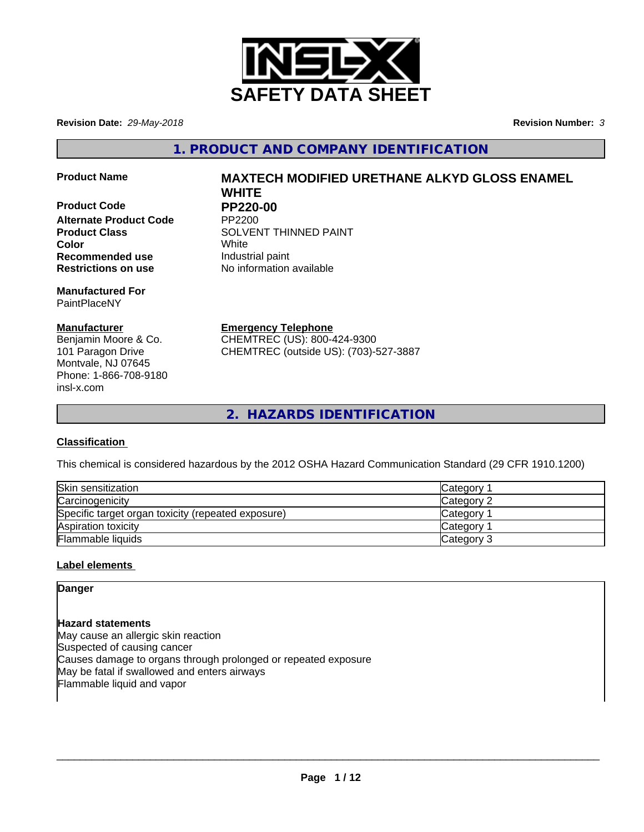

**Revision Date:** *29-May-2018* **Revision Number:** *3*

**1. PRODUCT AND COMPANY IDENTIFICATION**

**Product Code PP220-00**<br>Alternate Product Code PP2200 **Alternate Product Code Recommended use Industrial paint Restrictions on use** No information available

**Manufactured For** PaintPlaceNY

## **Manufacturer**

Benjamin Moore & Co. 101 Paragon Drive Montvale, NJ 07645 Phone: 1-866-708-9180 insl-x.com

# **Product Name MAXTECH MODIFIED URETHANE ALKYD GLOSS ENAMEL WHITE**

**Product Class SOLVENT THINNED PAINT Color** White

> **Emergency Telephone** CHEMTREC (US): 800-424-9300

CHEMTREC (outside US): (703)-527-3887

**2. HAZARDS IDENTIFICATION**

## **Classification**

This chemical is considered hazardous by the 2012 OSHA Hazard Communication Standard (29 CFR 1910.1200)

| Skin sensitization                                 | Category        |
|----------------------------------------------------|-----------------|
| Carcinogenicity                                    | Category 2      |
| Specific target organ toxicity (repeated exposure) | <b>Category</b> |
| Aspiration toxicity                                | <b>Category</b> |
| Flammable liquids                                  | Category 3      |

## **Label elements**

**Danger**

**Hazard statements** May cause an allergic skin reaction Suspected of causing cancer Causes damage to organs through prolonged or repeated exposure May be fatal if swallowed and enters airways Flammable liquid and vapor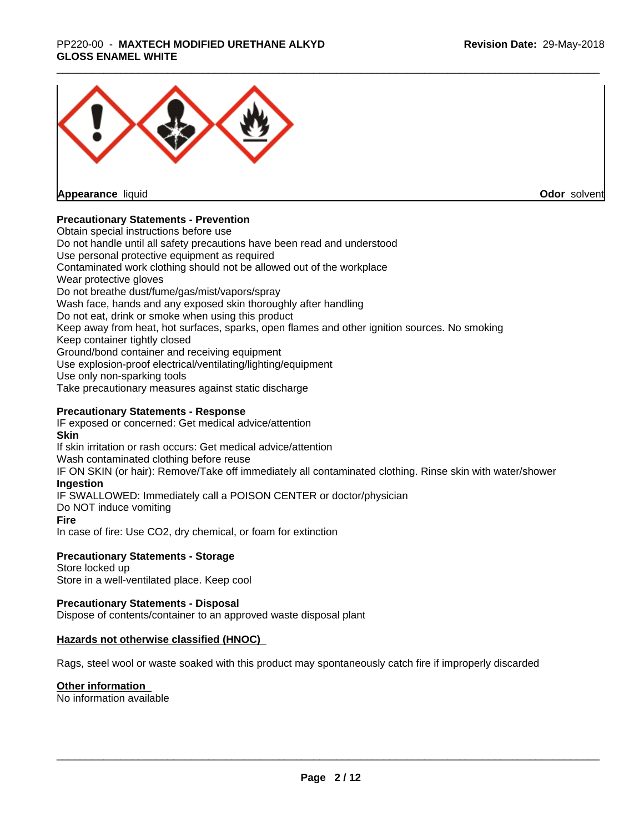## \_\_\_\_\_\_\_\_\_\_\_\_\_\_\_\_\_\_\_\_\_\_\_\_\_\_\_\_\_\_\_\_\_\_\_\_\_\_\_\_\_\_\_\_\_\_\_\_\_\_\_\_\_\_\_\_\_\_\_\_\_\_\_\_\_\_\_\_\_\_\_\_\_\_\_\_\_\_\_\_\_\_\_\_\_\_\_\_\_\_\_\_\_ PP220-00 - **MAXTECH MODIFIED URETHANE ALKYD GLOSS ENAMEL WHITE**



**Appearance** liquid

**Odor** solvent

## **Precautionary Statements - Prevention**

Obtain special instructions before use Do not handle until all safety precautions have been read and understood Use personal protective equipment as required Contaminated work clothing should not be allowed out of the workplace Wear protective gloves Do not breathe dust/fume/gas/mist/vapors/spray Wash face, hands and any exposed skin thoroughly after handling Do not eat, drink or smoke when using this product Keep away from heat, hot surfaces, sparks, open flames and other ignition sources. No smoking Keep container tightly closed Ground/bond container and receiving equipment Use explosion-proof electrical/ventilating/lighting/equipment Use only non-sparking tools Take precautionary measures against static discharge

## **Precautionary Statements - Response**

IF exposed or concerned: Get medical advice/attention **Skin** If skin irritation or rash occurs: Get medical advice/attention Wash contaminated clothing before reuse IF ON SKIN (or hair): Remove/Take off immediately all contaminated clothing. Rinse skin with water/shower **Ingestion** IF SWALLOWED: Immediately call a POISON CENTER or doctor/physician Do NOT induce vomiting **Fire** In case of fire: Use CO2, dry chemical, or foam for extinction

## **Precautionary Statements - Storage**

Store locked up Store in a well-ventilated place. Keep cool

## **Precautionary Statements - Disposal**

Dispose of contents/container to an approved waste disposal plant

## **Hazards not otherwise classified (HNOC)**

Rags, steel wool or waste soaked with this product may spontaneously catch fire if improperly discarded

## **Other information**

No information available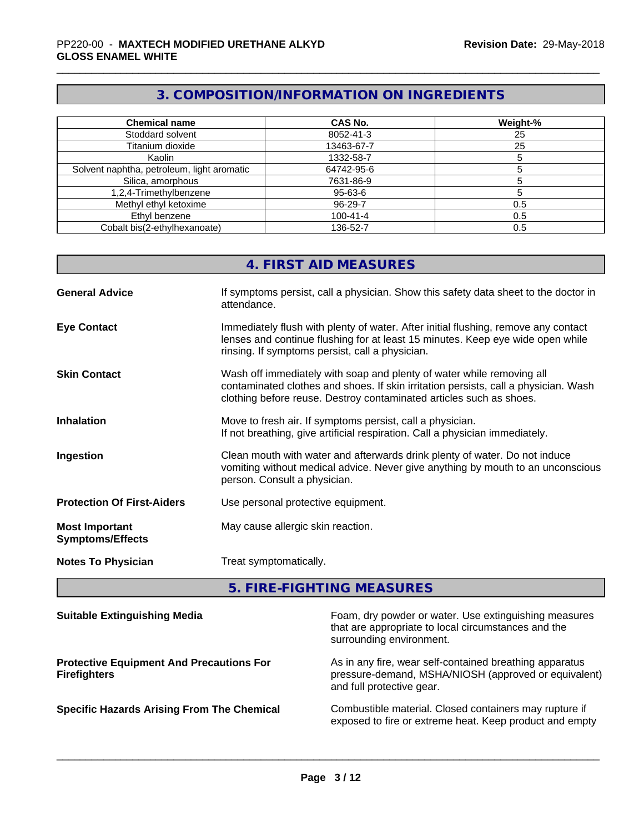## **3. COMPOSITION/INFORMATION ON INGREDIENTS**

| <b>Chemical name</b>                       | <b>CAS No.</b> | Weight-% |
|--------------------------------------------|----------------|----------|
| Stoddard solvent                           | 8052-41-3      | 25       |
| Titanium dioxide                           | 13463-67-7     | 25       |
| Kaolin                                     | 1332-58-7      |          |
| Solvent naphtha, petroleum, light aromatic | 64742-95-6     |          |
| Silica, amorphous                          | 7631-86-9      |          |
| 1,2,4-Trimethylbenzene                     | 95-63-6        |          |
| Methyl ethyl ketoxime                      | 96-29-7        | 0.5      |
| Ethyl benzene                              | $100 - 41 - 4$ | 0.5      |
| Cobalt bis(2-ethylhexanoate)               | 136-52-7       | 0.5      |

|                                                  | 4. FIRST AID MEASURES                                                                                                                                                                                                               |
|--------------------------------------------------|-------------------------------------------------------------------------------------------------------------------------------------------------------------------------------------------------------------------------------------|
| <b>General Advice</b>                            | If symptoms persist, call a physician. Show this safety data sheet to the doctor in<br>attendance.                                                                                                                                  |
| <b>Eye Contact</b>                               | Immediately flush with plenty of water. After initial flushing, remove any contact<br>lenses and continue flushing for at least 15 minutes. Keep eye wide open while<br>rinsing. If symptoms persist, call a physician.             |
| <b>Skin Contact</b>                              | Wash off immediately with soap and plenty of water while removing all<br>contaminated clothes and shoes. If skin irritation persists, call a physician. Wash<br>clothing before reuse. Destroy contaminated articles such as shoes. |
| <b>Inhalation</b>                                | Move to fresh air. If symptoms persist, call a physician.<br>If not breathing, give artificial respiration. Call a physician immediately.                                                                                           |
| Ingestion                                        | Clean mouth with water and afterwards drink plenty of water. Do not induce<br>vomiting without medical advice. Never give anything by mouth to an unconscious<br>person. Consult a physician.                                       |
| <b>Protection Of First-Aiders</b>                | Use personal protective equipment.                                                                                                                                                                                                  |
| <b>Most Important</b><br><b>Symptoms/Effects</b> | May cause allergic skin reaction.                                                                                                                                                                                                   |
| <b>Notes To Physician</b>                        | Treat symptomatically.                                                                                                                                                                                                              |

# **5. FIRE-FIGHTING MEASURES**

| <b>Suitable Extinguishing Media</b>                                    | Foam, dry powder or water. Use extinguishing measures<br>that are appropriate to local circumstances and the<br>surrounding environment.     |
|------------------------------------------------------------------------|----------------------------------------------------------------------------------------------------------------------------------------------|
| <b>Protective Equipment And Precautions For</b><br><b>Firefighters</b> | As in any fire, wear self-contained breathing apparatus<br>pressure-demand, MSHA/NIOSH (approved or equivalent)<br>and full protective gear. |
| <b>Specific Hazards Arising From The Chemical</b>                      | Combustible material. Closed containers may rupture if<br>exposed to fire or extreme heat. Keep product and empty                            |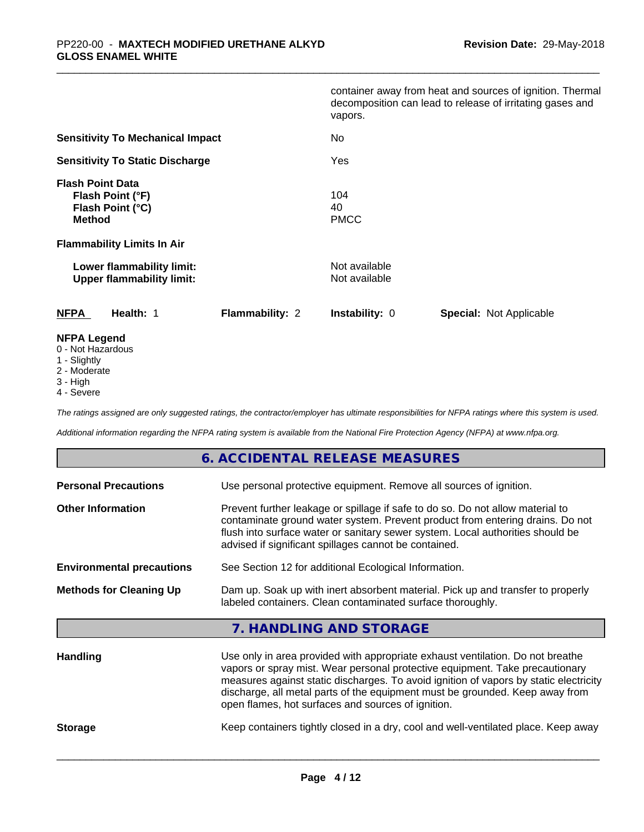|                                                                                   |                        | vapors.                        | container away from heat and sources of ignition. Thermal<br>decomposition can lead to release of irritating gases and |
|-----------------------------------------------------------------------------------|------------------------|--------------------------------|------------------------------------------------------------------------------------------------------------------------|
| <b>Sensitivity To Mechanical Impact</b><br><b>Sensitivity To Static Discharge</b> |                        | No                             |                                                                                                                        |
|                                                                                   |                        | Yes                            |                                                                                                                        |
| <b>Flash Point Data</b><br>Flash Point (°F)<br>Flash Point (°C)<br><b>Method</b>  |                        | 104<br>40<br><b>PMCC</b>       |                                                                                                                        |
| <b>Flammability Limits In Air</b>                                                 |                        |                                |                                                                                                                        |
| Lower flammability limit:<br><b>Upper flammability limit:</b>                     |                        | Not available<br>Not available |                                                                                                                        |
| <b>NFPA</b><br>Health: 1                                                          | <b>Flammability: 2</b> | <b>Instability: 0</b>          | Special: Not Applicable                                                                                                |
| <b>NFPA Legend</b><br>0 - Not Hazardous                                           |                        |                                |                                                                                                                        |

- 
- 1 Slightly
- 2 Moderate
- 3 High
- 4 Severe

*The ratings assigned are only suggested ratings, the contractor/employer has ultimate responsibilities for NFPA ratings where this system is used.*

*Additional information regarding the NFPA rating system is available from the National Fire Protection Agency (NFPA) at www.nfpa.org.*

## **6. ACCIDENTAL RELEASE MEASURES**

| <b>Personal Precautions</b>      | Use personal protective equipment. Remove all sources of ignition.                                                                                                                                                                                                                                                                      |  |  |
|----------------------------------|-----------------------------------------------------------------------------------------------------------------------------------------------------------------------------------------------------------------------------------------------------------------------------------------------------------------------------------------|--|--|
| <b>Other Information</b>         | Prevent further leakage or spillage if safe to do so. Do not allow material to<br>contaminate ground water system. Prevent product from entering drains. Do not<br>flush into surface water or sanitary sewer system. Local authorities should be<br>advised if significant spillages cannot be contained.                              |  |  |
| <b>Environmental precautions</b> | See Section 12 for additional Ecological Information.                                                                                                                                                                                                                                                                                   |  |  |
| <b>Methods for Cleaning Up</b>   | Dam up. Soak up with inert absorbent material. Pick up and transfer to properly<br>labeled containers. Clean contaminated surface thoroughly.                                                                                                                                                                                           |  |  |
|                                  | 7. HANDLING AND STORAGE                                                                                                                                                                                                                                                                                                                 |  |  |
| <b>Handling</b>                  | Use only in area provided with appropriate exhaust ventilation. Do not breathe<br>vapors or spray mist. Wear personal protective equipment. Take precautionary<br>measures against static discharges. To avoid ignition of vapors by static electricity<br>discharge, all metal parts of the equipment must be grounded. Keep away from |  |  |

**Storage** Keep containers tightly closed in a dry, cool and well-ventilated place. Keep away

 $\overline{\phantom{a}}$  ,  $\overline{\phantom{a}}$  ,  $\overline{\phantom{a}}$  ,  $\overline{\phantom{a}}$  ,  $\overline{\phantom{a}}$  ,  $\overline{\phantom{a}}$  ,  $\overline{\phantom{a}}$  ,  $\overline{\phantom{a}}$  ,  $\overline{\phantom{a}}$  ,  $\overline{\phantom{a}}$  ,  $\overline{\phantom{a}}$  ,  $\overline{\phantom{a}}$  ,  $\overline{\phantom{a}}$  ,  $\overline{\phantom{a}}$  ,  $\overline{\phantom{a}}$  ,  $\overline{\phantom{a}}$ 

open flames, hot surfaces and sources of ignition.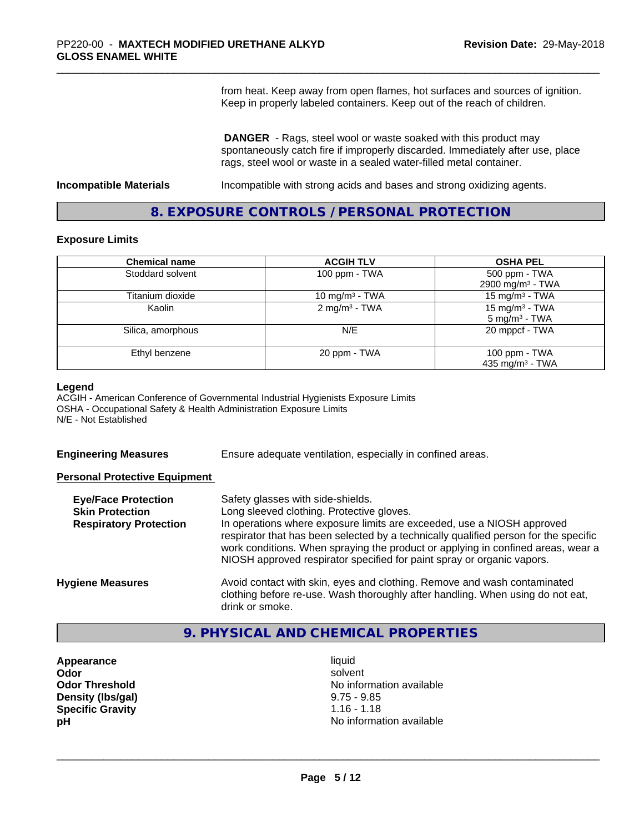from heat. Keep away from open flames, hot surfaces and sources of ignition. Keep in properly labeled containers. Keep out of the reach of children.

 **DANGER** - Rags, steel wool or waste soaked with this product may spontaneously catch fire if improperly discarded. Immediately after use, place rags, steel wool or waste in a sealed water-filled metal container.

**Incompatible Materials** Incompatible with strong acids and bases and strong oxidizing agents.

## **8. EXPOSURE CONTROLS / PERSONAL PROTECTION**

#### **Exposure Limits**

| <b>Chemical name</b> | <b>ACGIH TLV</b>           | <b>OSHA PEL</b>              |
|----------------------|----------------------------|------------------------------|
| Stoddard solvent     | 100 ppm - TWA              | 500 ppm - TWA                |
|                      |                            | 2900 mg/m <sup>3</sup> - TWA |
| Titanium dioxide     | 10 mg/m <sup>3</sup> - TWA | 15 mg/m <sup>3</sup> - TWA   |
| Kaolin               | 2 mg/m <sup>3</sup> - TWA  | 15 mg/m <sup>3</sup> - TWA   |
|                      |                            | $5 \text{ mg/m}^3$ - TWA     |
| Silica, amorphous    | N/E                        | 20 mppcf - TWA               |
| Ethyl benzene        | 20 ppm - TWA               | 100 ppm - TWA                |
|                      |                            | 435 mg/m <sup>3</sup> - TWA  |

#### **Legend**

ACGIH - American Conference of Governmental Industrial Hygienists Exposure Limits OSHA - Occupational Safety & Health Administration Exposure Limits N/E - Not Established

**Engineering Measures** Ensure adequate ventilation, especially in confined areas.

## **Personal Protective Equipment**

| <b>Eye/Face Protection</b><br><b>Skin Protection</b><br><b>Respiratory Protection</b> | Safety glasses with side-shields.<br>Long sleeved clothing. Protective gloves.<br>In operations where exposure limits are exceeded, use a NIOSH approved<br>respirator that has been selected by a technically qualified person for the specific<br>work conditions. When spraying the product or applying in confined areas, wear a<br>NIOSH approved respirator specified for paint spray or organic vapors. |
|---------------------------------------------------------------------------------------|----------------------------------------------------------------------------------------------------------------------------------------------------------------------------------------------------------------------------------------------------------------------------------------------------------------------------------------------------------------------------------------------------------------|
| <b>Hygiene Measures</b>                                                               | Avoid contact with skin, eyes and clothing. Remove and wash contaminated<br>clothing before re-use. Wash thoroughly after handling. When using do not eat,<br>drink or smoke.                                                                                                                                                                                                                                  |

## **9. PHYSICAL AND CHEMICAL PROPERTIES**

- **Appearance** liquid **Density (lbs/gal)** 9.75 - 9.85<br> **Specific Gravity** 1.16 - 1.18 **Specific Gravity**
- **Odor** solvent **Odor Threshold No information available No information available pH pH**  $\blacksquare$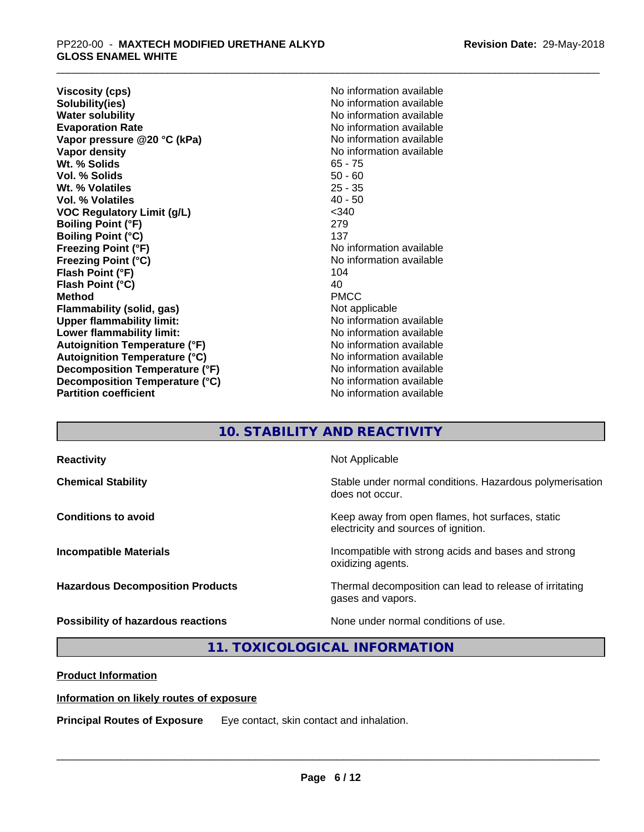**Viscosity (cps)** No information available<br> **Solubility(ies)** No information available **Solubility(ies)**<br> **No information available**<br> **Water solubility**<br> **Water solubility Evaporation Rate No information available No information available Vapor pressure @20 °C (kPa)** No information available **Vapor density Vapor** density **Wt. % Solids** 65 - 75 **Vol. % Solids** 50 - 60 Wt. % Volatiles **Vol. % Volatiles** 40 - 50 **VOC Regulatory Limit (g/L)** <340 **Boiling Point (°F)** 279 **Boiling Point (°C)** 137<br> **Freezing Point (°F)** No i **Freezing Point (°C)** No information available **Flash Point (°F)** 104<br> **Flash Point (°C)** 104<br>
104 **Flash Point (°C) Method** PMCC **Flammability (solid, gas)** Not applicable **Upper flammability limit:** No information available **Lower flammability limit:** No information available **Lower** flammability limit: **Autoignition Temperature (°F)** No information available **Autoignition Temperature (°C)** No information available **Decomposition Temperature (°F)** No information available **Decomposition Temperature (°C)**<br> **Partition coefficient**<br> **Partition coefficient**<br> **No** information available

**No information available No information available No information available** 

## **10. STABILITY AND REACTIVITY**

| <b>Reactivity</b>                       | Not Applicable                                                                           |
|-----------------------------------------|------------------------------------------------------------------------------------------|
| <b>Chemical Stability</b>               | Stable under normal conditions. Hazardous polymerisation<br>does not occur.              |
| <b>Conditions to avoid</b>              | Keep away from open flames, hot surfaces, static<br>electricity and sources of ignition. |
| <b>Incompatible Materials</b>           | Incompatible with strong acids and bases and strong<br>oxidizing agents.                 |
| <b>Hazardous Decomposition Products</b> | Thermal decomposition can lead to release of irritating<br>gases and vapors.             |
| Possibility of hazardous reactions      | None under normal conditions of use.                                                     |

## **11. TOXICOLOGICAL INFORMATION**

**Product Information**

**Information on likely routes of exposure**

**Principal Routes of Exposure** Eye contact, skin contact and inhalation.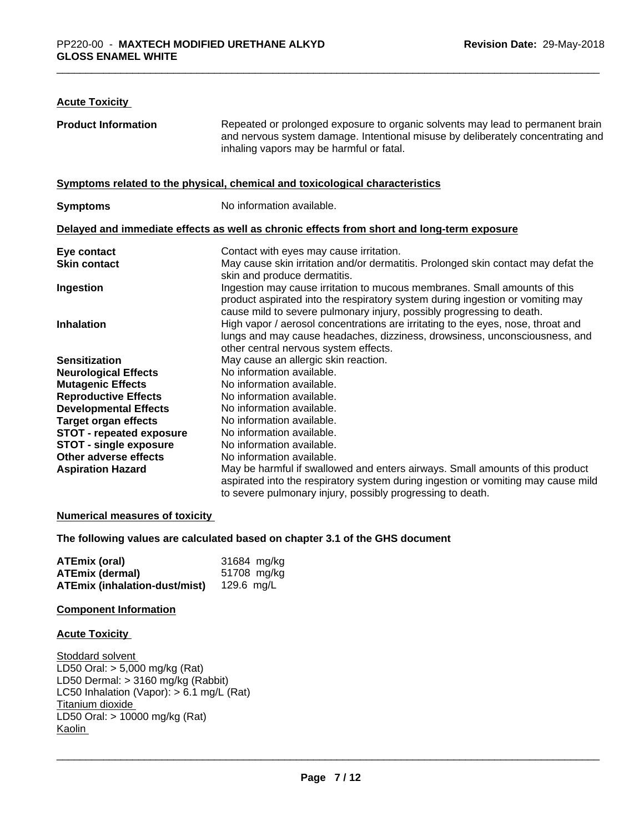## **Acute Toxicity**

| <b>Product Information</b>      | Repeated or prolonged exposure to organic solvents may lead to permanent brain<br>and nervous system damage. Intentional misuse by deliberately concentrating and<br>inhaling vapors may be harmful or fatal.                        |
|---------------------------------|--------------------------------------------------------------------------------------------------------------------------------------------------------------------------------------------------------------------------------------|
|                                 | Symptoms related to the physical, chemical and toxicological characteristics                                                                                                                                                         |
| <b>Symptoms</b>                 | No information available.                                                                                                                                                                                                            |
|                                 | Delayed and immediate effects as well as chronic effects from short and long-term exposure                                                                                                                                           |
| Eye contact                     | Contact with eyes may cause irritation.                                                                                                                                                                                              |
| <b>Skin contact</b>             | May cause skin irritation and/or dermatitis. Prolonged skin contact may defat the<br>skin and produce dermatitis.                                                                                                                    |
| Ingestion                       | Ingestion may cause irritation to mucous membranes. Small amounts of this<br>product aspirated into the respiratory system during ingestion or vomiting may<br>cause mild to severe pulmonary injury, possibly progressing to death. |
| <b>Inhalation</b>               | High vapor / aerosol concentrations are irritating to the eyes, nose, throat and<br>lungs and may cause headaches, dizziness, drowsiness, unconsciousness, and<br>other central nervous system effects.                              |
| <b>Sensitization</b>            | May cause an allergic skin reaction.                                                                                                                                                                                                 |
| <b>Neurological Effects</b>     | No information available.                                                                                                                                                                                                            |
| <b>Mutagenic Effects</b>        | No information available.                                                                                                                                                                                                            |
| <b>Reproductive Effects</b>     | No information available.                                                                                                                                                                                                            |
| <b>Developmental Effects</b>    | No information available.                                                                                                                                                                                                            |
| <b>Target organ effects</b>     | No information available.                                                                                                                                                                                                            |
| <b>STOT - repeated exposure</b> | No information available.                                                                                                                                                                                                            |
| <b>STOT - single exposure</b>   | No information available.                                                                                                                                                                                                            |
| Other adverse effects           | No information available.                                                                                                                                                                                                            |
| <b>Aspiration Hazard</b>        | May be harmful if swallowed and enters airways. Small amounts of this product<br>aspirated into the respiratory system during ingestion or vomiting may cause mild<br>to severe pulmonary injury, possibly progressing to death.     |

#### **Numerical measures of toxicity**

**The following values are calculated based on chapter 3.1 of the GHS document**

| ATEmix (oral)                        | 31684 mg/kg |
|--------------------------------------|-------------|
| <b>ATEmix (dermal)</b>               | 51708 mg/kg |
| <b>ATEmix (inhalation-dust/mist)</b> | 129.6 ma/L  |

## **Component Information**

## **Acute Toxicity**

Stoddard solvent LD50 Oral: > 5,000 mg/kg (Rat) LD50 Dermal: > 3160 mg/kg (Rabbit) LC50 Inhalation (Vapor): > 6.1 mg/L (Rat) Titanium dioxide LD50 Oral: > 10000 mg/kg (Rat) Kaolin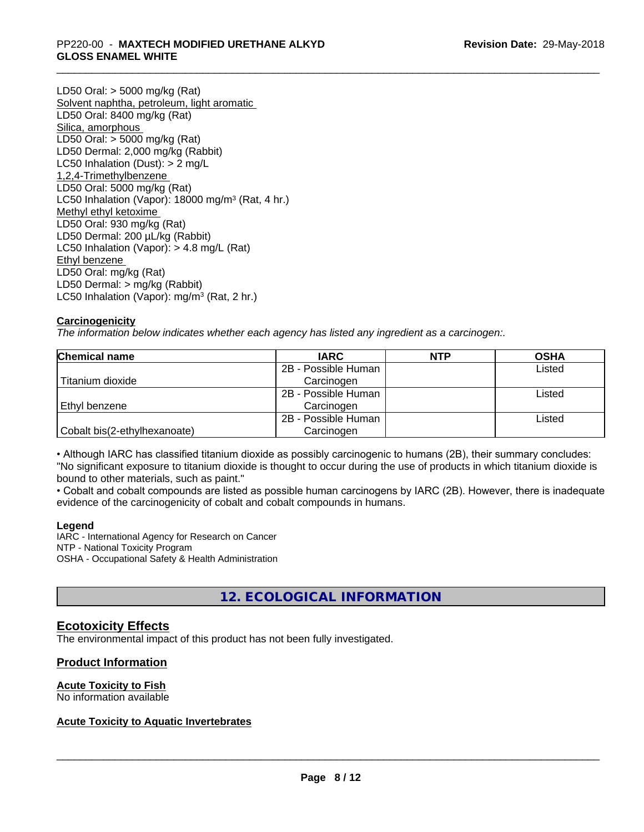## \_\_\_\_\_\_\_\_\_\_\_\_\_\_\_\_\_\_\_\_\_\_\_\_\_\_\_\_\_\_\_\_\_\_\_\_\_\_\_\_\_\_\_\_\_\_\_\_\_\_\_\_\_\_\_\_\_\_\_\_\_\_\_\_\_\_\_\_\_\_\_\_\_\_\_\_\_\_\_\_\_\_\_\_\_\_\_\_\_\_\_\_\_ PP220-00 - **MAXTECH MODIFIED URETHANE ALKYD GLOSS ENAMEL WHITE**

LD50 Oral: > 5000 mg/kg (Rat) Solvent naphtha, petroleum, light aromatic LD50 Oral: 8400 mg/kg (Rat) Silica, amorphous LD50 Oral: > 5000 mg/kg (Rat) LD50 Dermal: 2,000 mg/kg (Rabbit) LC50 Inhalation (Dust): > 2 mg/L 1,2,4-Trimethylbenzene LD50 Oral: 5000 mg/kg (Rat) LC50 Inhalation (Vapor): 18000 mg/m<sup>3</sup> (Rat, 4 hr.) Methyl ethyl ketoxime LD50 Oral: 930 mg/kg (Rat) LD50 Dermal: 200 µL/kg (Rabbit) LC50 Inhalation (Vapor): > 4.8 mg/L (Rat) Ethyl benzene LD50 Oral: mg/kg (Rat) LD50 Dermal: > mg/kg (Rabbit) LC50 Inhalation (Vapor): mg/m<sup>3</sup> (Rat, 2 hr.)

## **Carcinogenicity**

*The information below indicateswhether each agency has listed any ingredient as a carcinogen:.*

| <b>Chemical name</b>         | <b>IARC</b>         | <b>NTP</b> | <b>OSHA</b> |  |
|------------------------------|---------------------|------------|-------------|--|
|                              | 2B - Possible Human |            | Listed      |  |
| Titanium dioxide             | Carcinogen          |            |             |  |
|                              | 2B - Possible Human |            | Listed      |  |
| Ethyl benzene                | Carcinogen          |            |             |  |
|                              | 2B - Possible Human |            | Listed      |  |
| Cobalt bis(2-ethylhexanoate) | Carcinogen          |            |             |  |

• Although IARC has classified titanium dioxide as possibly carcinogenic to humans (2B), their summary concludes: "No significant exposure to titanium dioxide is thought to occur during the use of products in which titanium dioxide is bound to other materials, such as paint."

• Cobalt and cobalt compounds are listed as possible human carcinogens by IARC (2B). However, there is inadequate evidence of the carcinogenicity of cobalt and cobalt compounds in humans.

## **Legend**

IARC - International Agency for Research on Cancer NTP - National Toxicity Program OSHA - Occupational Safety & Health Administration

## **12. ECOLOGICAL INFORMATION**

## **Ecotoxicity Effects**

The environmental impact of this product has not been fully investigated.

## **Product Information**

## **Acute Toxicity to Fish**

No information available

## **Acute Toxicity to Aquatic Invertebrates**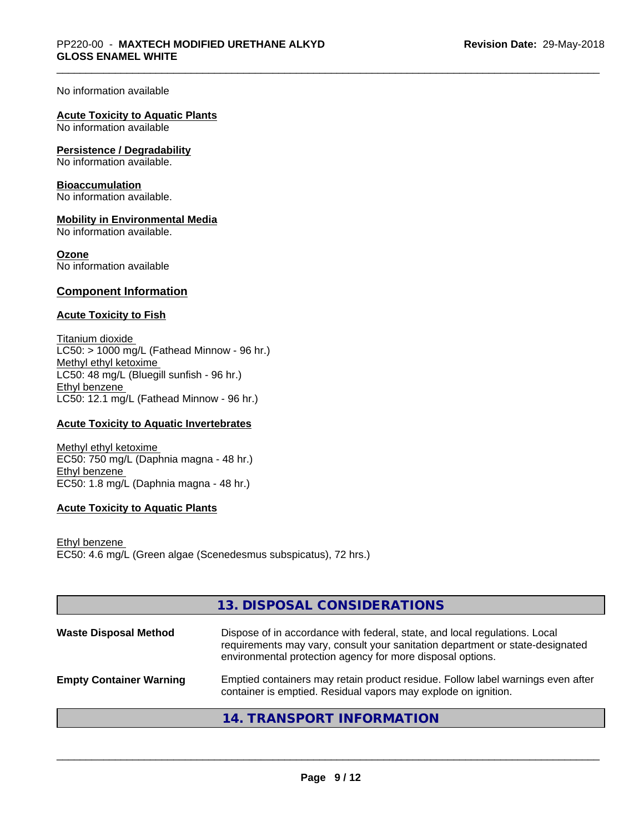No information available

## **Acute Toxicity to Aquatic Plants**

No information available

#### **Persistence / Degradability**

No information available.

#### **Bioaccumulation**

No information available.

## **Mobility in Environmental Media**

No information available.

#### **Ozone**

No information available

## **Component Information**

## **Acute Toxicity to Fish**

Titanium dioxide  $LC50:$  > 1000 mg/L (Fathead Minnow - 96 hr.) Methyl ethyl ketoxime LC50: 48 mg/L (Bluegill sunfish - 96 hr.) Ethyl benzene LC50: 12.1 mg/L (Fathead Minnow - 96 hr.)

## **Acute Toxicity to Aquatic Invertebrates**

Methyl ethyl ketoxime EC50: 750 mg/L (Daphnia magna - 48 hr.) Ethyl benzene EC50: 1.8 mg/L (Daphnia magna - 48 hr.)

## **Acute Toxicity to Aquatic Plants**

Ethyl benzene EC50: 4.6 mg/L (Green algae (Scenedesmus subspicatus), 72 hrs.)

|                                | 13. DISPOSAL CONSIDERATIONS                                                                                                                                                                                               |
|--------------------------------|---------------------------------------------------------------------------------------------------------------------------------------------------------------------------------------------------------------------------|
| <b>Waste Disposal Method</b>   | Dispose of in accordance with federal, state, and local regulations. Local<br>requirements may vary, consult your sanitation department or state-designated<br>environmental protection agency for more disposal options. |
| <b>Empty Container Warning</b> | Emptied containers may retain product residue. Follow label warnings even after<br>container is emptied. Residual vapors may explode on ignition.                                                                         |
|                                | 14. TRANSPORT INFORMATION                                                                                                                                                                                                 |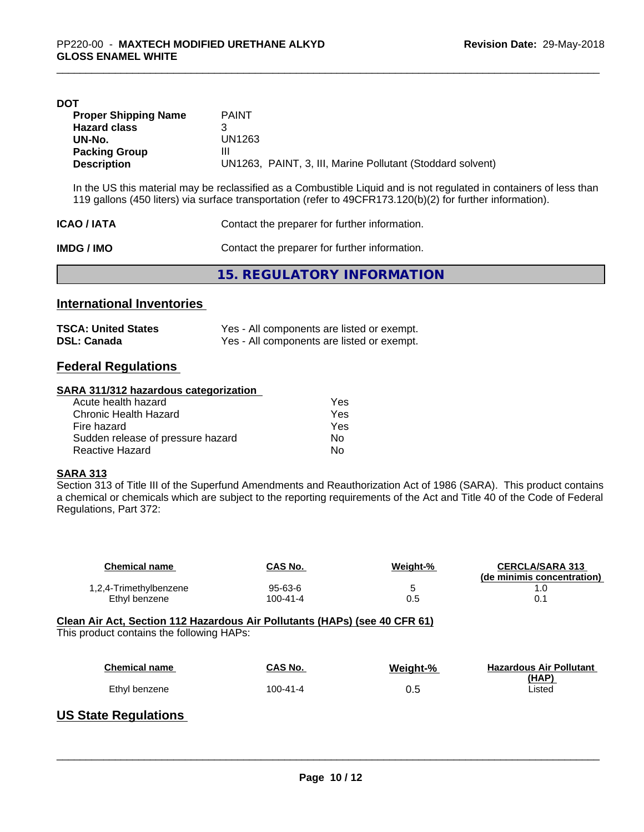| DOT                         |                                                                                                                                                                                                                                   |
|-----------------------------|-----------------------------------------------------------------------------------------------------------------------------------------------------------------------------------------------------------------------------------|
| <b>Proper Shipping Name</b> | <b>PAINT</b>                                                                                                                                                                                                                      |
| <b>Hazard class</b>         | 3                                                                                                                                                                                                                                 |
| UN-No.                      | UN1263                                                                                                                                                                                                                            |
| <b>Packing Group</b>        | Ш                                                                                                                                                                                                                                 |
| <b>Description</b>          | UN1263, PAINT, 3, III, Marine Pollutant (Stoddard solvent)                                                                                                                                                                        |
|                             | In the US this material may be reclassified as a Combustible Liquid and is not regulated in containers of less than<br>119 gallons (450 liters) via surface transportation (refer to 49CFR173.120(b)(2) for further information). |

| <b>ICAO/IATA</b> | Contact the preparer for further information. |
|------------------|-----------------------------------------------|
| IMDG / IMO       | Contact the preparer for further information. |
|                  | 15. REGULATORY INFORMATION                    |

## **International Inventories**

| <b>TSCA: United States</b> | Yes - All components are listed or exempt. |
|----------------------------|--------------------------------------------|
| <b>DSL: Canada</b>         | Yes - All components are listed or exempt. |

## **Federal Regulations**

#### **SARA 311/312 hazardous categorization**

| Acute health hazard               | Yes |  |
|-----------------------------------|-----|--|
| Chronic Health Hazard             | Yes |  |
| Fire hazard                       | Yes |  |
| Sudden release of pressure hazard | Nο  |  |
| Reactive Hazard                   | Nο  |  |

## **SARA 313**

Section 313 of Title III of the Superfund Amendments and Reauthorization Act of 1986 (SARA). This product contains a chemical or chemicals which are subject to the reporting requirements of the Act and Title 40 of the Code of Federal Regulations, Part 372:

| <b>Chemical name</b>                                                                      | CAS No.        | Weight-% | <b>CERCLA/SARA 313</b><br>(de minimis concentration) |
|-------------------------------------------------------------------------------------------|----------------|----------|------------------------------------------------------|
| 1,2,4-Trimethylbenzene                                                                    | $95 - 63 - 6$  | 5        | 1.0                                                  |
| Ethyl benzene                                                                             | $100 - 41 - 4$ | 0.5      | 0.1                                                  |
| This product contains the following HAPs:                                                 |                |          |                                                      |
| <b>Chemical name</b>                                                                      | CAS No.        | Weight-% | <b>Hazardous Air Pollutant</b>                       |
| Ethyl benzene                                                                             | $100 - 41 - 4$ | 0.5      | (HAP)<br>Listed                                      |
| $\mathbf{H}$ . As a set of $\mathbf{H}$ is a set of $\mathbf{H}$ is a set of $\mathbf{H}$ |                |          |                                                      |

## **US State Regulations**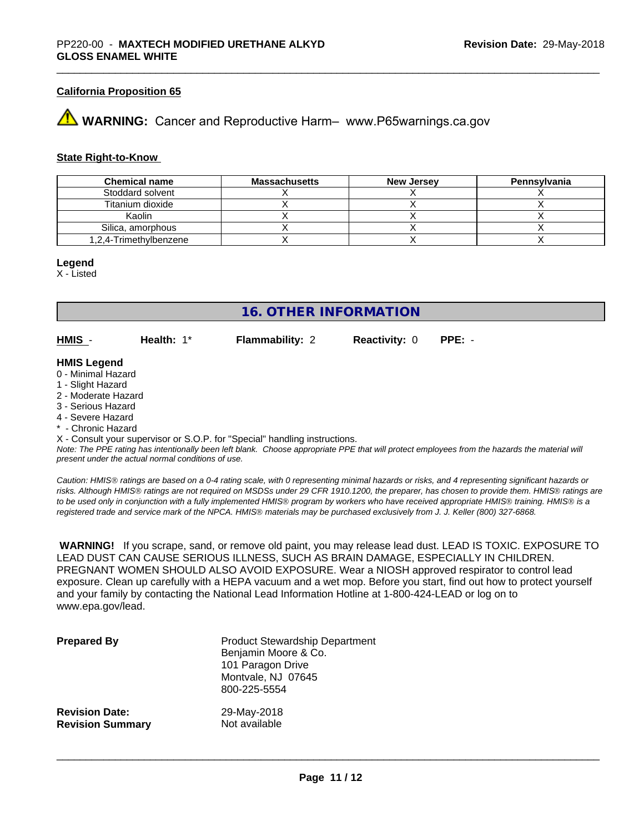## **California Proposition 65**

## **43 WARNING:** Cancer and Reproductive Harm– www.P65warnings.ca.gov

#### **State Right-to-Know**

| <b>Chemical name</b>   | <b>Massachusetts</b> | <b>New Jersey</b> | Pennsylvania |
|------------------------|----------------------|-------------------|--------------|
| Stoddard solvent       |                      |                   |              |
| Titanium dioxide       |                      |                   |              |
| Kaolin                 |                      |                   |              |
| Silica, amorphous      |                      |                   |              |
| 1,2,4-Trimethylbenzene |                      |                   |              |

#### **Legend**

X - Listed

**16. OTHER INFORMATION**

**HMIS** - **Health:** 1\* **Flammability:** 2 **Reactivity:** 0 **PPE:** -

#### **HMIS Legend**

- 0 Minimal Hazard
- 1 Slight Hazard
- 2 Moderate Hazard
- 3 Serious Hazard
- 4 Severe Hazard
- Chronic Hazard

X - Consult your supervisor or S.O.P. for "Special" handling instructions.

*Note: The PPE rating has intentionally been left blank. Choose appropriate PPE that will protect employees from the hazards the material will present under the actual normal conditions of use.*

*Caution: HMISÒ ratings are based on a 0-4 rating scale, with 0 representing minimal hazards or risks, and 4 representing significant hazards or risks. Although HMISÒ ratings are not required on MSDSs under 29 CFR 1910.1200, the preparer, has chosen to provide them. HMISÒ ratings are to be used only in conjunction with a fully implemented HMISÒ program by workers who have received appropriate HMISÒ training. HMISÒ is a registered trade and service mark of the NPCA. HMISÒ materials may be purchased exclusively from J. J. Keller (800) 327-6868.*

 **WARNING!** If you scrape, sand, or remove old paint, you may release lead dust. LEAD IS TOXIC. EXPOSURE TO LEAD DUST CAN CAUSE SERIOUS ILLNESS, SUCH AS BRAIN DAMAGE, ESPECIALLY IN CHILDREN. PREGNANT WOMEN SHOULD ALSO AVOID EXPOSURE.Wear a NIOSH approved respirator to control lead exposure. Clean up carefully with a HEPA vacuum and a wet mop. Before you start, find out how to protect yourself and your family by contacting the National Lead Information Hotline at 1-800-424-LEAD or log on to www.epa.gov/lead.

| <b>Prepared By</b>      | <b>Product Stewardship Department</b><br>Benjamin Moore & Co.<br>101 Paragon Drive<br>Montvale, NJ 07645<br>800-225-5554 |
|-------------------------|--------------------------------------------------------------------------------------------------------------------------|
| <b>Revision Date:</b>   | 29-May-2018                                                                                                              |
| <b>Revision Summary</b> | Not available                                                                                                            |